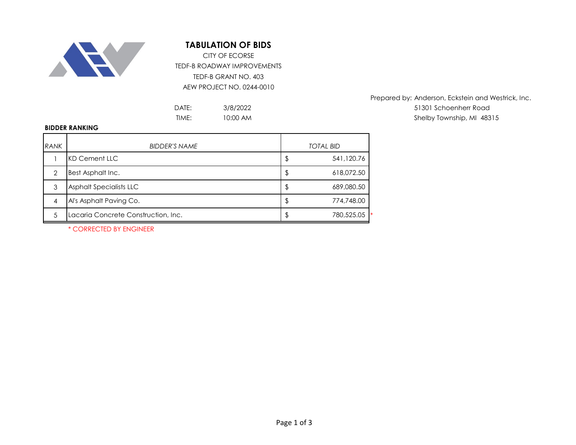

## **TABULATION OF BIDS**

TEDF-B ROADWAY IMPROVEMENTS TEDF-B GRANT NO. 403 AEW PROJECT NO. 0244-0010 CITY OF ECORSE

> 3/8/2022 10:00 AM

Prepared by: Anderson, Eckstein and Westrick, Inc. DATE: 3/8/2022 3/8/2022 51301 Schoenherr Road TIME: Shelby Township, MI 48315

## **BIDDER RANKING**

| RANK | <b>BIDDER'S NAME</b>                | <b>TOTAL BID</b> |            |  |
|------|-------------------------------------|------------------|------------|--|
|      | KD Cement LLC                       | P                | 541,120.76 |  |
| 2    | Best Asphalt Inc.                   |                  | 618,072.50 |  |
| 3    | Asphalt Specialists LLC             |                  | 689,080.50 |  |
| 4    | Al's Asphalt Paving Co.             |                  | 774,748.00 |  |
| 5    | Lacaria Concrete Construction, Inc. |                  | 780,525.05 |  |

\* CORRECTED BY ENGINEER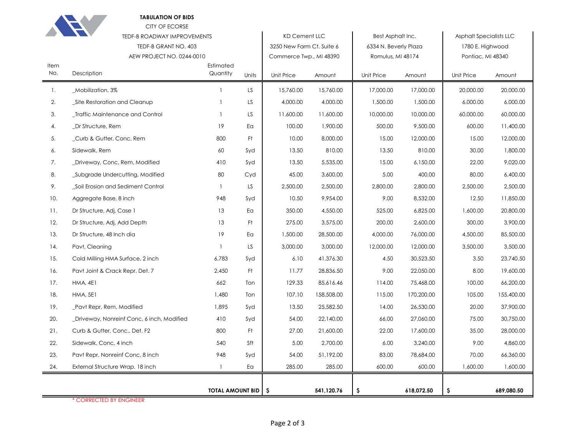|             | <b>TABULATION OF BIDS</b><br><b>CITY OF ECORSE</b> |                                                            |       |                           |                   |                       |                                |                   |            |
|-------------|----------------------------------------------------|------------------------------------------------------------|-------|---------------------------|-------------------|-----------------------|--------------------------------|-------------------|------------|
|             |                                                    | <b>TEDF-B ROADWAY IMPROVEMENTS</b><br><b>KD Cement LLC</b> |       |                           | Best Asphalt Inc. |                       | <b>Asphalt Specialists LLC</b> |                   |            |
|             | TEDF-B GRANT NO. 403                               |                                                            |       | 3250 New Farm Ct. Suite 6 |                   | 6334 N. Beverly Plaza |                                | 1780 E. Highwood  |            |
|             | AEW PROJECT NO. 0244-0010                          |                                                            |       | Commerce Twp., MI 48390   |                   | Romulus, MI 48174     |                                | Pontiac, MI 48340 |            |
| Item<br>No. | Description                                        | Estimated<br>Quantity                                      | Units | Unit Price                | Amount            | Unit Price            | Amount                         | Unit Price        | Amount     |
| -1.         | _Mobilization, 3%                                  |                                                            | LS    | 15,760.00                 | 15,760.00         | 17,000.00             | 17,000.00                      | 20,000.00         | 20,000.00  |
| 2.          | Site Restoration and Cleanup                       | -1                                                         | LS    | 4,000.00                  | 4,000.00          | 1,500.00              | 1,500.00                       | 6,000.00          | 6,000.00   |
| 3.          | _Traffic Maintenance and Control                   | -1                                                         | LS    | 11,600.00                 | 11,600.00         | 10,000.00             | 10,000.00                      | 60,000.00         | 60,000.00  |
| 4.          | _Dr Structure, Rem                                 | 19                                                         | Ea    | 100.00                    | 1,900.00          | 500.00                | 9,500.00                       | 600.00            | 11,400.00  |
| 5.          | Curb & Gutter, Conc, Rem                           | 800                                                        | Ft    | 10.00                     | 8,000.00          | 15.00                 | 12,000.00                      | 15.00             | 12,000.00  |
| 6.          | Sidewalk, Rem                                      | 60                                                         | Syd   | 13.50                     | 810.00            | 13.50                 | 810.00                         | 30.00             | 1,800.00   |
| 7.          | _Driveway, Conc, Rem, Modified                     | 410                                                        | Syd   | 13.50                     | 5,535.00          | 15.00                 | 6,150.00                       | 22.00             | 9,020.00   |
| 8.          | Subgrade Undercutting, Modified                    | 80                                                         | Cyd   | 45.00                     | 3,600.00          | 5.00                  | 400.00                         | 80.00             | 6,400.00   |
| 9.          | Soil Erosion and Sediment Control                  | $\mathbf{1}$                                               | LS    | 2,500.00                  | 2,500.00          | 2,800.00              | 2,800.00                       | 2,500.00          | 2,500.00   |
| 10.         | Aggregate Base, 8 inch                             | 948                                                        | Syd   | 10.50                     | 9,954.00          | 9.00                  | 8,532.00                       | 12.50             | 11,850.00  |
| 11.         | Dr Structure, Adj, Case 1                          | 13                                                         | Ea    | 350.00                    | 4,550.00          | 525.00                | 6,825.00                       | 1,600.00          | 20,800.00  |
| 12.         | Dr Structure, Adj, Add Depth                       | 13                                                         | Ft    | 275.00                    | 3,575.00          | 200.00                | 2,600.00                       | 300.00            | 3,900.00   |
| 13.         | Dr Structure, 48 Inch dia                          | 19                                                         | Ea    | 1,500.00                  | 28,500.00         | 4,000.00              | 76,000.00                      | 4,500.00          | 85,500.00  |
| 14.         | Pavt, Cleaning                                     | $\mathbf{1}$                                               | LS    | 3,000.00                  | 3,000.00          | 12,000.00             | 12,000.00                      | 3,500.00          | 3,500.00   |
| 15.         | Cold Milling HMA Surface, 2 inch                   | 6,783                                                      | Syd   | 6.10                      | 41,376.30         | 4.50                  | 30,523.50                      | 3.50              | 23,740.50  |
| 16.         | Pavt Joint & Crack Repr, Det. 7                    | 2,450                                                      | Ft    | 11.77                     | 28,836.50         | 9.00                  | 22,050.00                      | 8.00              | 19,600.00  |
| 17.         | HMA, 4E1                                           | 662                                                        | Ton   | 129.33                    | 85,616.46         | 114.00                | 75,468.00                      | 100.00            | 66,200.00  |
| 18.         | <b>HMA, 5E1</b>                                    | 1,480                                                      | Ton   | 107.10                    | 158,508.00        | 115.00                | 170,200.00                     | 105.00            | 155,400.00 |
| 19.         | _Pavt Repr, Rem, Modified                          | 1,895                                                      | Syd   | 13.50                     | 25,582.50         | 14.00                 | 26,530.00                      | 20.00             | 37,900.00  |
| 20.         | Driveway, Nonreinf Conc, 6 inch, Modified          | 410                                                        | Syd   | 54.00                     | 22,140.00         | 66.00                 | 27,060.00                      | 75.00             | 30,750.00  |
| 21.         | Curb & Gutter, Conc., Det. F2                      | 800                                                        | Ft    | 27.00                     | 21,600.00         | 22.00                 | 17,600.00                      | 35.00             | 28,000.00  |
| 22.         | Sidewalk, Conc, 4 inch                             | 540                                                        | Sft   | 5.00                      | 2,700.00          | 6.00                  | 3,240.00                       | 9.00              | 4,860.00   |
| 23.         | Pavt Repr, Nonreinf Conc, 8 inch                   | 948                                                        | Syd   | 54.00                     | 51,192.00         | 83.00                 | 78,684.00                      | 70.00             | 66,360.00  |
| 24.         | External Structure Wrap. 18 inch                   | 1                                                          | Ea    | 285.00                    | 285.00            | 600.00                | 600.00                         | 1,600.00          | 1,600.00   |
|             |                                                    |                                                            |       |                           |                   |                       |                                |                   |            |
|             | <b>TOTAL AMOUNT BID   \$</b>                       |                                                            |       | 541,120.76                | \$                | 618,072.50            | \$                             | 689,080.50        |            |

\* CORRECTED BY ENGINEER